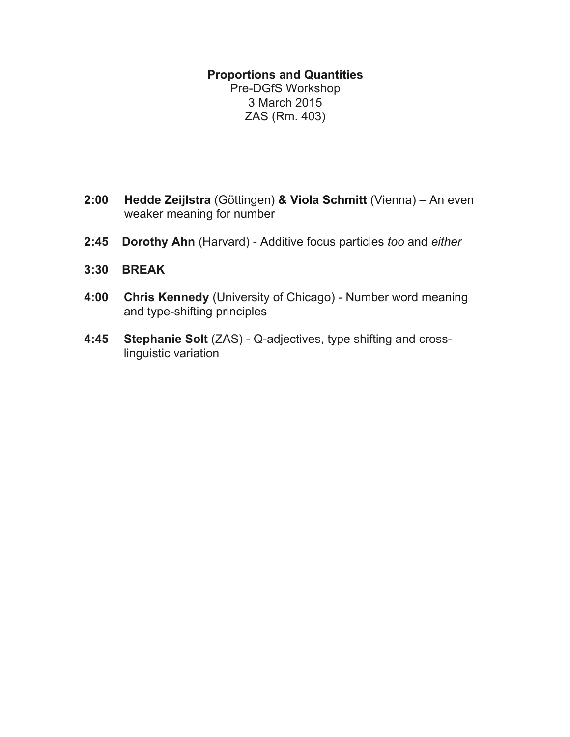### **Proportions and Quantities**

Pre-DGfS Workshop 3 March 2015 ZAS (Rm. 403)

- **2:00 Hedde Zeijlstra** (Göttingen) **& Viola Schmitt** (Vienna) An even weaker meaning for number
- **2:45 Dorothy Ahn** (Harvard) Additive focus particles *too* and *either*
- **3:30 BREAK**
- **4:00 Chris Kennedy** (University of Chicago) Number word meaning and type-shifting principles
- <span id="page-0-7"></span><span id="page-0-6"></span><span id="page-0-5"></span><span id="page-0-4"></span><span id="page-0-3"></span><span id="page-0-2"></span><span id="page-0-1"></span><span id="page-0-0"></span>**4:45 Stephanie Solt** (ZAS) - Q-adjectives, type shifting and crosslinguistic variation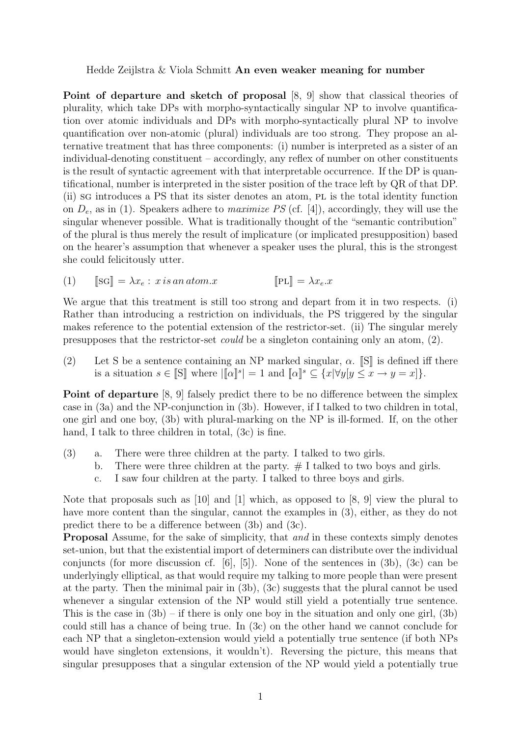#### Hedde Zeijlstra & Viola Schmitt An even weaker meaning for number

Point of departure and sketch of proposal  $[8, 9]$  $[8, 9]$  show that classical theories of plurality, which take DPs with morpho-syntactically singular NP to involve quantification over atomic individuals and DPs with morpho-syntactically plural NP to involve quantification over non-atomic (plural) individuals are too strong. They propose an alternative treatment that has three components: (i) number is interpreted as a sister of an individual-denoting constituent – accordingly, any reflex of number on other constituents is the result of syntactic agreement with that interpretable occurrence. If the DP is quantificational, number is interpreted in the sister position of the trace left by QR of that DP. (ii) sg introduces a PS that its sister denotes an atom, pl is the total identity function on *De*, as in (1). Speakers adhere to *maximize PS* (cf. [\[4\]](#page-0-2)), accordingly, they will use the singular whenever possible. What is traditionally thought of the "semantic contribution" of the plural is thus merely the result of implicature (or implicated presupposition) based on the hearer's assumption that whenever a speaker uses the plural, this is the strongest she could felicitously utter.

(1) 
$$
[\![\mathbf{SG}]\!] = \lambda x_e : x \, is \, an \, atom.x \qquad [\![\mathbf{PL}]\!] = \lambda x_e.x
$$

We argue that this treatment is still too strong and depart from it in two respects. (i) Rather than introducing a restriction on individuals, the PS triggered by the singular makes reference to the potential extension of the restrictor-set. (ii) The singular merely presupposes that the restrictor-set *could* be a singleton containing only an atom, (2).

(2) Let S be a sentence containing an NP marked singular,  $\alpha$ . [S] is defined iff there is a situation  $s \in \llbracket S \rrbracket$  where  $\llbracket \alpha \rrbracket^s = 1$  and  $\llbracket \alpha \rrbracket^s \subseteq \{x | \forall y [y \le x \rightarrow y = x]\}.$ 

**Point of departure** [\[8,](#page-0-0) [9\]](#page-0-1) falsely predict there to be no difference between the simplex case in (3a) and the NP-conjunction in (3b). However, if I talked to two children in total, one girl and one boy, (3b) with plural-marking on the NP is ill-formed. If, on the other hand, I talk to three children in total,  $(3c)$  is fine.

- (3) a. There were three children at the party. I talked to two girls.
	- b. There were three children at the party.  $#$  I talked to two boys and girls.
	- c. I saw four children at the party. I talked to three boys and girls.

Note that proposals such as [\[10\]](#page-0-3) and [\[1\]](#page-0-4) which, as opposed to [\[8,](#page-0-0) [9\]](#page-0-1) view the plural to have more content than the singular, cannot the examples in (3), either, as they do not predict there to be a difference between  $(3b)$  and  $(3c)$ .

Proposal Assume, for the sake of simplicity, that *and* in these contexts simply denotes set-union, but that the existential import of determiners can distribute over the individual conjuncts (for more discussion cf.  $[6]$ ,  $[5]$ ). None of the sentences in  $(3b)$ ,  $(3c)$  can be underlyingly elliptical, as that would require my talking to more people than were present at the party. Then the minimal pair in (3b), (3c) suggests that the plural cannot be used whenever a singular extension of the NP would still yield a potentially true sentence. This is the case in  $(3b)$  – if there is only one boy in the situation and only one girl,  $(3b)$ could still has a chance of being true. In (3c) on the other hand we cannot conclude for each NP that a singleton-extension would yield a potentially true sentence (if both NPs would have singleton extensions, it wouldn't). Reversing the picture, this means that singular presupposes that a singular extension of the NP would yield a potentially true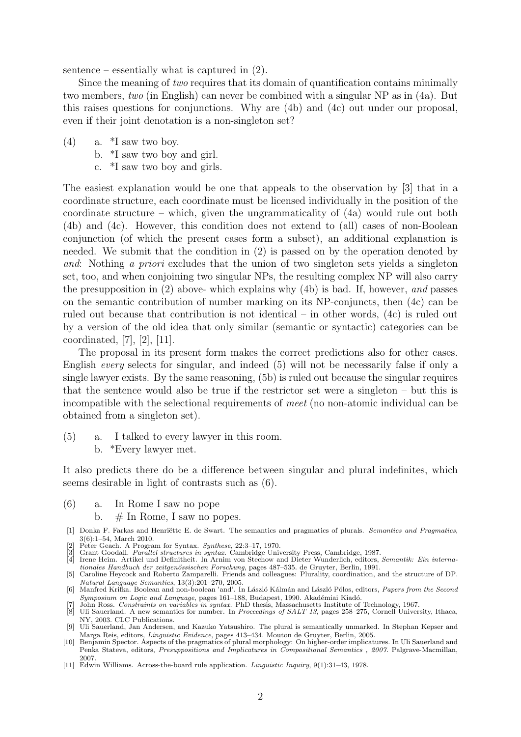sentence – essentially what is captured in (2).

Since the meaning of *two* requires that its domain of quantification contains minimally two members, *two* (in English) can never be combined with a singular NP as in (4a). But this raises questions for conjunctions. Why are (4b) and (4c) out under our proposal, even if their joint denotation is a non-singleton set?

- $(4)$  a.  $*$ I saw two boy.
	- b. \*I saw two boy and girl.
	- c. \*I saw two boy and girls.

The easiest explanation would be one that appeals to the observation by [\[3\]](#page-2-0) that in a coordinate structure, each coordinate must be licensed individually in the position of the coordinate structure – which, given the ungrammaticality of (4a) would rule out both (4b) and (4c). However, this condition does not extend to (all) cases of non-Boolean conjunction (of which the present cases form a subset), an additional explanation is needed. We submit that the condition in [\(2\)](#page-0-7) is passed on by the operation denoted by *and*: Nothing *a priori* excludes that the union of two singleton sets yields a singleton set, too, and when conjoining two singular NPs, the resulting complex NP will also carry the presupposition in [\(2\)](#page-0-7) above- which explains why (4b) is bad. If, however, *and* passes on the semantic contribution of number marking on its NP-conjuncts, then (4c) can be ruled out because that contribution is not identical – in other words, (4c) is ruled out by a version of the old idea that only similar (semantic or syntactic) categories can be coordinated, [\[7\]](#page-2-1), [\[2\]](#page-2-2), [\[11\]](#page-2-3).

The proposal in its present form makes the correct predictions also for other cases. English *every* selects for singular, and indeed (5) will not be necessarily false if only a single lawyer exists. By the same reasoning, (5b) is ruled out because the singular requires that the sentence would also be true if the restrictor set were a singleton – but this is incompatible with the selectional requirements of *meet* (no non-atomic individual can be obtained from a singleton set).

- (5) a. I talked to every lawyer in this room.
	- b. \*Every lawyer met.

It also predicts there do be a difference between singular and plural indefinites, which seems desirable in light of contrasts such as (6).

- (6) a. In Rome I saw no pope
	- b.  $\#$  In Rome, I saw no popes.
- [1] Donka F. Farkas and Henriëtte E. de Swart. The semantics and pragmatics of plurals. *Semantics and Pragmatics*, 3(6):1–54, March 2010. [2] Peter Geach. A Program for Syntax. *Synthese*, 22:3–17, 1970.
- <span id="page-2-2"></span><span id="page-2-0"></span>
- [3] Grant Goodall. Parallel structures in syntax. Cambridge University Press, Cambridge, 1987.<br>[4] Irene Heim. Artikel und Definitheit. In Arnim von Stechow and Dieter Wunderlich, editors, Semantik: Ein interna-
- *tionales Handbuch der zeitgen¨ossischen Forschung*, pages 487–535. de Gruyter, Berlin, 1991.
- [5] Caroline Heycock and Roberto Zamparelli. Friends and colleagues: Plurality, coordination, and the structure of DP.<br>Natural Language Semantics, 13(3):201–270, 2005.
- *Natural Language Semantics*, 13(3):201–270, 2005. [6] Manfred Krifka. Boolean and non-boolean 'and'. In L´aszl´o K´alm´an and L´aszl´o P´olos, editors, *Papers from the Second Symposium on Logic and Language*, pages 161–188, Budapest, 1990. Akadémiai Kiadó.<br>[7] John Ross. *Constraints on variables in syntax*. PhD thesis, Massachusetts Institute of Technology, 1967.
- <span id="page-2-1"></span>
- [8] Uli Sauerland. A new semantics for number. In *Proceedings of SALT 13*, pages 258–275, Cornell University, Ithaca, NY, 2003. CLC Publications.
- [9] Uli Sauerland, Jan Andersen, and Kazuko Yatsushiro. The plural is semantically unmarked. In Stephan Kepser and Marga Reis, editors, *Linguistic Evidence*, pages 413–434. Mouton de Gruyter, Berlin, 2005.
- [10] Benjamin Spector. Aspects of the pragmatics of plural morphology: On higher-order implicatures. In Uli Sauerland and Penka Stateva, editors, *Presuppositions and Implicatures in Compositional Semantics , 2007.* Palgrave-Macmillan, 2007.
- <span id="page-2-3"></span>[11] Edwin Williams. Across-the-board rule application. *Linguistic Inquiry*, 9(1):31–43, 1978.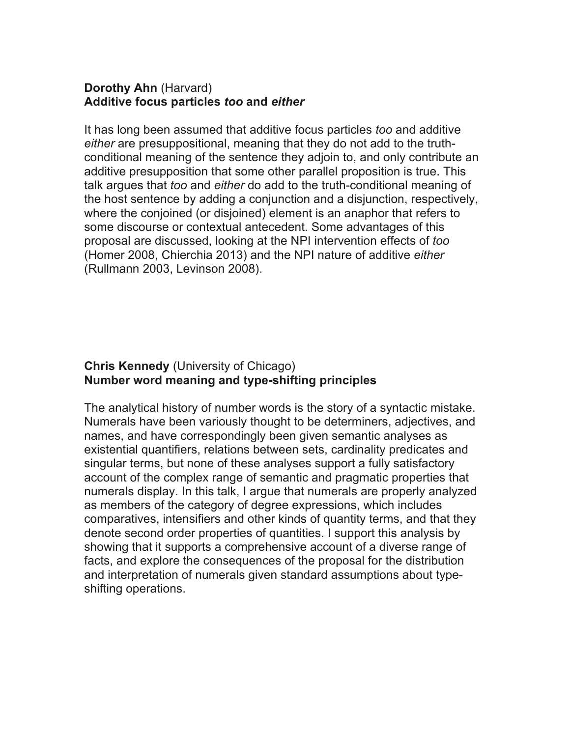### **Dorothy Ahn** (Harvard) **Additive focus particles** *too* **and** *either*

It has long been assumed that additive focus particles *too* and additive *either* are presuppositional, meaning that they do not add to the truthconditional meaning of the sentence they adjoin to, and only contribute an additive presupposition that some other parallel proposition is true. This talk argues that *too* and *either* do add to the truth-conditional meaning of the host sentence by adding a conjunction and a disjunction, respectively, where the conjoined (or disjoined) element is an anaphor that refers to some discourse or contextual antecedent. Some advantages of this proposal are discussed, looking at the NPI intervention effects of *too* (Homer 2008, Chierchia 2013) and the NPI nature of additive *either* (Rullmann 2003, Levinson 2008).

# **Chris Kennedy** (University of Chicago) **Number word meaning and type-shifting principles**

The analytical history of number words is the story of a syntactic mistake. Numerals have been variously thought to be determiners, adjectives, and names, and have correspondingly been given semantic analyses as existential quantifiers, relations between sets, cardinality predicates and singular terms, but none of these analyses support a fully satisfactory account of the complex range of semantic and pragmatic properties that numerals display. In this talk, I argue that numerals are properly analyzed as members of the category of degree expressions, which includes comparatives, intensifiers and other kinds of quantity terms, and that they denote second order properties of quantities. I support this analysis by showing that it supports a comprehensive account of a diverse range of facts, and explore the consequences of the proposal for the distribution and interpretation of numerals given standard assumptions about typeshifting operations.